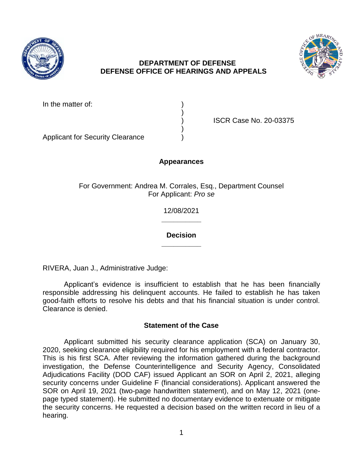

# **DEPARTMENT OF DEFENSE DEFENSE OFFICE OF HEARINGS AND APPEALS**

)

)



In the matter of:

) ISCR Case No. 20-03375

Applicant for Security Clearance )

## **Appearances**

For Government: Andrea M. Corrales, Esq., Department Counsel For Applicant: *Pro se* 

> **\_\_\_\_\_\_\_\_\_\_**  12/08/2021

> **\_\_\_\_\_\_\_\_\_\_ Decision**

RIVERA, Juan J., Administrative Judge:

 Applicant's evidence is insufficient to establish that he has been financially responsible addressing his delinquent accounts. He failed to establish he has taken good-faith efforts to resolve his debts and that his financial situation is under control. Clearance is denied.

## **Statement of the Case**

 Applicant submitted his security clearance application (SCA) on January 30, 2020, seeking clearance eligibility required for his employment with a federal contractor. This is his first SCA. After reviewing the information gathered during the background investigation, the Defense Counterintelligence and Security Agency, Consolidated Adjudications Facility (DOD CAF) issued Applicant an SOR on April 2, 2021, alleging SOR on April 19, 2021 (two-page handwritten statement), and on May 12, 2021 (one- page typed statement). He submitted no documentary evidence to extenuate or mitigate the security concerns. He requested a decision based on the written record in lieu of a security concerns under Guideline F (financial considerations). Applicant answered the hearing.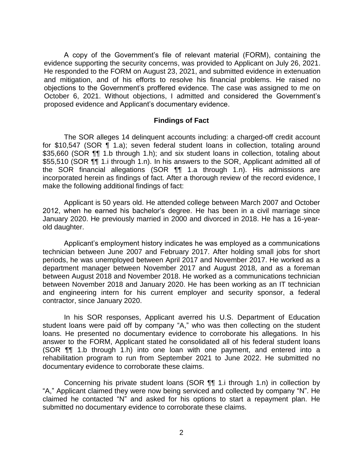A copy of the Government's file of relevant material (FORM), containing the evidence supporting the security concerns, was provided to Applicant on July 26, 2021. and mitigation, and of his efforts to resolve his financial problems. He raised no objections to the Government's proffered evidence. The case was assigned to me on October 6, 2021. Without objections, I admitted and considered the Government's He responded to the FORM on August 23, 2021, and submitted evidence in extenuation proposed evidence and Applicant's documentary evidence.

#### **Findings of Fact**

\$35,660 (SOR ¶¶ 1.b through 1.h); and six student loans in collection, totaling about \$55,510 (SOR ¶¶ 1.i through 1.n). In his answers to the SOR, Applicant admitted all of incorporated herein as findings of fact. After a thorough review of the record evidence, I The SOR alleges 14 delinquent accounts including: a charged-off credit account for \$10,547 (SOR ¶ 1.a); seven federal student loans in collection, totaling around the SOR financial allegations (SOR ¶¶ 1.a through 1.n). His admissions are make the following additional findings of fact:

 Applicant is 50 years old. He attended college between March 2007 and October 2012, when he earned his bachelor's degree. He has been in a civil marriage since January 2020. He previously married in 2000 and divorced in 2018. He has a 16-yearold daughter.

 Applicant's employment history indicates he was employed as a communications technician between June 2007 and February 2017. After holding small jobs for short periods, he was unemployed between April 2017 and November 2017. He worked as a department manager between November 2017 and August 2018, and as a foreman between August 2018 and November 2018. He worked as a communications technician between November 2018 and January 2020. He has been working as an IT technician and engineering intern for his current employer and security sponsor, a federal contractor, since January 2020.

 In his SOR responses, Applicant averred his U.S. Department of Education student loans were paid off by company "A," who was then collecting on the student loans. He presented no documentary evidence to corroborate his allegations. In his answer to the FORM, Applicant stated he consolidated all of his federal student loans (SOR ¶¶ 1.b through 1.h) into one loan with one payment, and entered into a rehabilitation program to run from September 2021 to June 2022. He submitted no documentary evidence to corroborate these claims.

 Concerning his private student loans (SOR ¶¶ 1.i through 1.n) in collection by "A," Applicant claimed they were now being serviced and collected by company "N". He claimed he contacted "N" and asked for his options to start a repayment plan. He submitted no documentary evidence to corroborate these claims.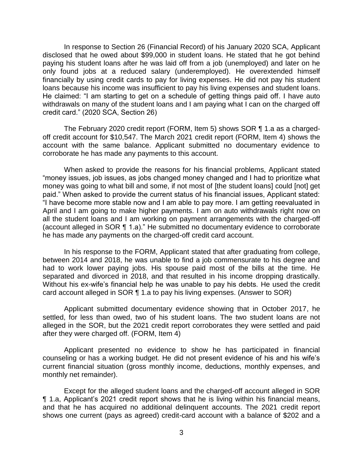In response to Section 26 (Financial Record) of his January 2020 SCA, Applicant disclosed that he owed about \$99,000 in student loans. He stated that he got behind paying his student loans after he was laid off from a job (unemployed) and later on he only found jobs at a reduced salary (underemployed). He overextended himself financially by using credit cards to pay for living expenses. He did not pay his student loans because his income was insufficient to pay his living expenses and student loans. He claimed: "I am starting to get on a schedule of getting things paid off. I have auto withdrawals on many of the student loans and I am paying what I can on the charged off credit card." (2020 SCA, Section 26)

 The February 2020 credit report (FORM, Item 5) shows SOR ¶ 1.a as a charged- account with the same balance. Applicant submitted no documentary evidence to off credit account for \$10,547. The March 2021 credit report (FORM, Item 4) shows the corroborate he has made any payments to this account.

When asked to provide the reasons for his financial problems, Applicant stated "money issues, job issues, as jobs changed money changed and I had to prioritize what money was going to what bill and some, if not most of [the student loans] could [not] get paid." When asked to provide the current status of his financial issues, Applicant stated: "I have become more stable now and I am able to pay more. I am getting reevaluated in April and I am going to make higher payments. I am on auto withdrawals right now on all the student loans and I am working on payment arrangements with the charged-off (account alleged in SOR ¶ 1.a)." He submitted no documentary evidence to corroborate he has made any payments on the charged-off credit card account.

 In his response to the FORM, Applicant stated that after graduating from college, between 2014 and 2018, he was unable to find a job commensurate to his degree and had to work lower paying jobs. His spouse paid most of the bills at the time. He separated and divorced in 2018, and that resulted in his income dropping drastically. Without his ex-wife's financial help he was unable to pay his debts. He used the credit card account alleged in SOR ¶ 1.a to pay his living expenses. (Answer to SOR)

 Applicant submitted documentary evidence showing that in October 2017, he settled, for less than owed, two of his student loans. The two student loans are not alleged in the SOR, but the 2021 credit report corroborates they were settled and paid after they were charged off. (FORM, Item 4)

 Applicant presented no evidence to show he has participated in financial counseling or has a working budget. He did not present evidence of his and his wife's current financial situation (gross monthly income, deductions, monthly expenses, and monthly net remainder).

 Except for the alleged student loans and the charged-off account alleged in SOR ¶ 1.a, Applicant's 2021 credit report shows that he is living within his financial means, and that he has acquired no additional delinquent accounts. The 2021 credit report shows one current (pays as agreed) credit-card account with a balance of \$202 and a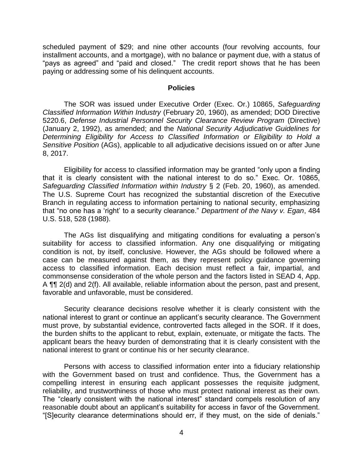scheduled payment of \$29; and nine other accounts (four revolving accounts, four installment accounts, and a mortgage), with no balance or payment due, with a status of "pays as agreed" and "paid and closed." The credit report shows that he has been paying or addressing some of his delinquent accounts.

#### **Policies**

 The SOR was issued under Executive Order (Exec. Or.) 10865, *Safeguarding Classified Information Within Industry* (February 20, 1960), as amended; DOD Directive 5220.6, *Defense Industrial Personnel Security Clearance Review Program* (Directive) (January 2, 1992), as amended; and the *National Security Adjudicative Guidelines for Determining Eligibility for Access to Classified Information or Eligibility to Hold a Sensitive Position* (AGs), applicable to all adjudicative decisions issued on or after June 8, 2017.

 Eligibility for access to classified information may be granted "only upon a finding that it is clearly consistent with the national interest to do so." Exec. Or. 10865,  *Safeguarding Classified Information within Industry* § 2 (Feb. 20, 1960), as amended. The U.S. Supreme Court has recognized the substantial discretion of the Executive Branch in regulating access to information pertaining to national security, emphasizing that "no one has a 'right' to a security clearance." *Department of the Navy v. Egan*, 484 U.S. 518, 528 (1988).

 The AGs list disqualifying and mitigating conditions for evaluating a person's suitability for access to classified information. Any one disqualifying or mitigating condition is not, by itself, conclusive. However, the AGs should be followed where a case can be measured against them, as they represent policy guidance governing access to classified information. Each decision must reflect a fair, impartial, and commonsense consideration of the whole person and the factors listed in SEAD 4, App. A  $\P$  2(d) and 2(f). All available, reliable information about the person, past and present, favorable and unfavorable, must be considered.

 Security clearance decisions resolve whether it is clearly consistent with the national interest to grant or continue an applicant's security clearance. The Government must prove, by substantial evidence, controverted facts alleged in the SOR. If it does, the burden shifts to the applicant to rebut, explain, extenuate, or mitigate the facts. The applicant bears the heavy burden of demonstrating that it is clearly consistent with the national interest to grant or continue his or her security clearance.

 Persons with access to classified information enter into a fiduciary relationship with the Government based on trust and confidence. Thus, the Government has a compelling interest in ensuring each applicant possesses the requisite judgment, reliability, and trustworthiness of those who must protect national interest as their own. The "clearly consistent with the national interest" standard compels resolution of any reasonable doubt about an applicant's suitability for access in favor of the Government. "[S]ecurity clearance determinations should err, if they must, on the side of denials."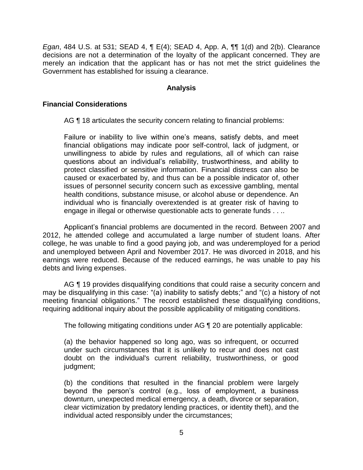*Egan*, 484 U.S. at 531; SEAD 4, ¶ E(4); SEAD 4, App. A, ¶¶ 1(d) and 2(b). Clearance decisions are not a determination of the loyalty of the applicant concerned. They are merely an indication that the applicant has or has not met the strict guidelines the Government has established for issuing a clearance.

### **Analysis**

### **Financial Considerations**

AG ¶ 18 articulates the security concern relating to financial problems:

Failure or inability to live within one's means, satisfy debts, and meet financial obligations may indicate poor self-control, lack of judgment, or unwillingness to abide by rules and regulations, all of which can raise questions about an individual's reliability, trustworthiness, and ability to protect classified or sensitive information. Financial distress can also be caused or exacerbated by, and thus can be a possible indicator of, other issues of personnel security concern such as excessive gambling, mental health conditions, substance misuse, or alcohol abuse or dependence. An individual who is financially overextended is at greater risk of having to engage in illegal or otherwise questionable acts to generate funds . . ..

 Applicant's financial problems are documented in the record. Between 2007 and 2012, he attended college and accumulated a large number of student loans. After college, he was unable to find a good paying job, and was underemployed for a period and unemployed between April and November 2017. He was divorced in 2018, and his earnings were reduced. Because of the reduced earnings, he was unable to pay his debts and living expenses.

AG ¶ 19 provides disqualifying conditions that could raise a security concern and may be disqualifying in this case: "(a) inability to satisfy debts;" and "(c) a history of not meeting financial obligations." The record established these disqualifying conditions, requiring additional inquiry about the possible applicability of mitigating conditions.

The following mitigating conditions under AG ¶ 20 are potentially applicable:

 (a) the behavior happened so long ago, was so infrequent, or occurred under such circumstances that it is unlikely to recur and does not cast doubt on the individual's current reliability, trustworthiness, or good judgment;

(b) the conditions that resulted in the financial problem were largely beyond the person's control (e.g., loss of employment, a business downturn, unexpected medical emergency, a death, divorce or separation, clear victimization by predatory lending practices, or identity theft), and the individual acted responsibly under the circumstances;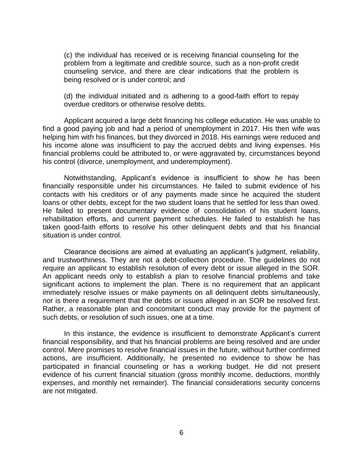(c) the individual has received or is receiving financial counseling for the problem from a legitimate and credible source, such as a non-profit credit counseling service, and there are clear indications that the problem is being resolved or is under control; and

 (d) the individual initiated and is adhering to a good-faith effort to repay overdue creditors or otherwise resolve debts.

 find a good paying job and had a period of unemployment in 2017. His then wife was helping him with his finances, but they divorced in 2018. His earnings were reduced and his income alone was insufficient to pay the accrued debts and living expenses. His financial problems could be attributed to, or were aggravated by, circumstances beyond Applicant acquired a large debt financing his college education. He was unable to his control (divorce, unemployment, and underemployment).

 Notwithstanding, Applicant's evidence is insufficient to show he has been financially responsible under his circumstances. He failed to submit evidence of his contacts with his creditors or of any payments made since he acquired the student loans or other debts, except for the two student loans that he settled for less than owed. He failed to present documentary evidence of consolidation of his student loans, rehabilitation efforts, and current payment schedules. He failed to establish he has taken good-faith efforts to resolve his other delinquent debts and that his financial situation is under control.

 Clearance decisions are aimed at evaluating an applicant's judgment, reliability, and trustworthiness. They are not a debt-collection procedure. The guidelines do not require an applicant to establish resolution of every debt or issue alleged in the SOR. An applicant needs only to establish a plan to resolve financial problems and take significant actions to implement the plan. There is no requirement that an applicant immediately resolve issues or make payments on all delinquent debts simultaneously, nor is there a requirement that the debts or issues alleged in an SOR be resolved first. Rather, a reasonable plan and concomitant conduct may provide for the payment of such debts, or resolution of such issues, one at a time.

 financial responsibility, and that his financial problems are being resolved and are under actions, are insufficient. Additionally, he presented no evidence to show he has participated in financial counseling or has a working budget. He did not present evidence of his current financial situation (gross monthly income, deductions, monthly expenses, and monthly net remainder). The financial considerations security concerns In this instance, the evidence is insufficient to demonstrate Applicant's current control. Mere promises to resolve financial issues in the future, without further confirmed are not mitigated.